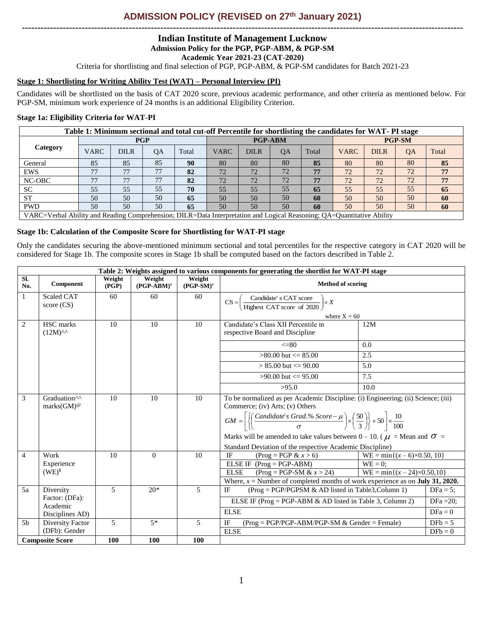# **ADMISSION POLICY (REVISED on 27th January 2021) --------------------------------------------------------------------------------------------------------------------------------------------**

# **Indian Institute of Management Lucknow Admission Policy for the PGP, PGP-ABM, & PGP-SM**

**Academic Year 2021-23 (CAT-2020)**

Criteria for shortlisting and final selection of PGP, PGP-ABM, & PGP-SM candidates for Batch 2021-23

## **Stage 1: Shortlisting for Writing Ability Test (WAT) – Personal Interview (PI)**

Candidates will be shortlisted on the basis of CAT 2020 score, previous academic performance, and other criteria as mentioned below. For PGP-SM, minimum work experience of 24 months is an additional Eligibility Criterion.

## **Stage 1a: Eligibility Criteria for WAT-PI**

|            | Table 1: Minimum sectional and total cut-off Percentile for shortlisting the candidates for WAT-PI stage                |             |            |       |             |             |                |       |             |             |               |       |
|------------|-------------------------------------------------------------------------------------------------------------------------|-------------|------------|-------|-------------|-------------|----------------|-------|-------------|-------------|---------------|-------|
|            |                                                                                                                         |             | <b>PGP</b> |       |             |             | <b>PGP-ABM</b> |       |             |             | <b>PGP-SM</b> |       |
| Category   | <b>VARC</b>                                                                                                             | <b>DILR</b> | <b>OA</b>  | Total | <b>VARC</b> | <b>DILR</b> | <b>OA</b>      | Total | <b>VARC</b> | <b>DILR</b> | QA            | Total |
| General    | 85                                                                                                                      | 85          | 85         | 90    | 80          | 80          | 80             | 85    | 80          | 80          | 80            | 85    |
| <b>EWS</b> | חת                                                                                                                      | 77          | 77         | 82    | 72          | 72          | 72             | 77    | 72          | 72          | 72            | 77    |
| NC-OBC     | 77                                                                                                                      | 77          | 77         | 82    | 72          | 72          | 72             | 77    | 72          | 72          | 72            | 77    |
| <b>SC</b>  | 55                                                                                                                      | 55          | 55         | 70    | 55          | 55          | 55             | 65    | 55          | 55          | 55            | 65    |
| <b>ST</b>  | 50                                                                                                                      | 50          | 50         | 65    | 50          | 50          | 50             | 60    | 50          | 50          | 50            | 60    |
| <b>PWD</b> | 50                                                                                                                      | 50          | 50         | 65    | 50          | 50          | 50             | 60    | 50          | 50          | 50            | 60    |
|            | VARC-Verbal Ability and Reading Comprehension: DII R-Data Interpretation and Logical Reasoning: 0A-Quantitative Ability |             |            |       |             |             |                |       |             |             |               |       |

Verbal Ability and Reading Comprehension; DILR=Data Interpretation and Logical Reasoning; QA=Quantitative Abili

## **Stage 1b: Calculation of the Composite Score for Shortlisting for WAT-PI stage**

Only the candidates securing the above-mentioned minimum sectional and total percentiles for the respective category in CAT 2020 will be considered for Stage 1b. The composite scores in Stage 1b shall be computed based on the factors described in Table 2.

|                |                                                       |                 |                         |                        | Table 2: Weights assigned to various components for generating the shortlist for WAT-PI stage                                                                                                                                                                                                                                                                                                                                                    |                                                           |              |
|----------------|-------------------------------------------------------|-----------------|-------------------------|------------------------|--------------------------------------------------------------------------------------------------------------------------------------------------------------------------------------------------------------------------------------------------------------------------------------------------------------------------------------------------------------------------------------------------------------------------------------------------|-----------------------------------------------------------|--------------|
| Sl.<br>No.     | Component                                             | Weight<br>(PGP) | Weight<br>$(PGP-ABM)^*$ | Weight<br>$(PGP-SM)^*$ | <b>Method of scoring</b>                                                                                                                                                                                                                                                                                                                                                                                                                         |                                                           |              |
| 1              | <b>Scaled CAT</b><br>score $(CS)$                     | 60              | 60                      | 60                     | Candidate's CAT score<br>$CS =$<br>$\times X$<br>Highest CAT score of 2020                                                                                                                                                                                                                                                                                                                                                                       |                                                           |              |
|                |                                                       |                 |                         |                        | where $X = 60$                                                                                                                                                                                                                                                                                                                                                                                                                                   |                                                           |              |
| 2              | HSC marks<br>$(12M)^{AA}$                             | 10              | 10                      | 10                     | Candidate's Class XII Percentile in<br>respective Board and Discipline                                                                                                                                                                                                                                                                                                                                                                           | 12M                                                       |              |
|                |                                                       |                 |                         |                        | $\leq$ =80                                                                                                                                                                                                                                                                                                                                                                                                                                       | 0.0                                                       |              |
|                |                                                       |                 |                         |                        | $>80.00$ but $\leq 85.00$                                                                                                                                                                                                                                                                                                                                                                                                                        | 2.5                                                       |              |
|                |                                                       |                 |                         |                        | $> 85.00$ but $\leq 90.00$                                                                                                                                                                                                                                                                                                                                                                                                                       | 5.0                                                       |              |
|                |                                                       |                 |                         |                        | $>90.00$ but $\leq 95.00$                                                                                                                                                                                                                                                                                                                                                                                                                        | 7.5                                                       |              |
|                |                                                       |                 |                         |                        | >95.0                                                                                                                                                                                                                                                                                                                                                                                                                                            | 10.0                                                      |              |
| 3              | Graduation <sup>^^</sup><br>marks $(GM)$ <sup>@</sup> | 10              | 10                      | 10                     | To be normalized as per Academic Discipline: (i) Engineering; (ii) Science; (iii)<br>Commerce; (iv) Arts; (v) Others<br>$GM = \left  \left\{ \left( \frac{Candidate's\ Grad.\% \ Score - \mu}{\sigma} \right) \times \left( \frac{50}{3} \right) \right\} + 50 \right  \times \frac{10}{100}$<br>Marks will be amended to take values between 0 – 10. ( $\mu$ = Mean and $\sigma$ =<br>Standard Deviation of the respective Academic Discipline) |                                                           |              |
| $\overline{4}$ | Work                                                  | 10              | $\Omega$                | 10                     | IF<br>$(Prog = PGP & x > 6)$                                                                                                                                                                                                                                                                                                                                                                                                                     | $WE = min\{(x – 6) \times 0.50, 10\}$                     |              |
|                | Experience                                            |                 |                         |                        | ELSE IF $(Prog = PGP-ABM)$                                                                                                                                                                                                                                                                                                                                                                                                                       | $WE = 0$ :                                                |              |
|                | $(WE)^{s}$                                            |                 |                         |                        | <b>ELSE</b><br>$(Prog = PGP-SM & x > 24)$                                                                                                                                                                                                                                                                                                                                                                                                        | $\overline{\text{WE}} = \min\{(x - 24) \times 0.50, 10\}$ |              |
|                |                                                       |                 |                         |                        | Where, $x =$ Number of completed months of work experience as on <b>July 31, 2020.</b>                                                                                                                                                                                                                                                                                                                                                           |                                                           |              |
| 5a             | Diversity<br>Factor: (DFa):                           | 5               | $20*$                   | 5                      | IF<br>$(Prog = PGP/PGPSM & AD listed in Table 3, Column 1)$                                                                                                                                                                                                                                                                                                                                                                                      |                                                           | $DFa = 5;$   |
|                | Academic                                              |                 |                         |                        | ELSE IF (Prog = PGP-ABM & AD listed in Table 3, Column 2)                                                                                                                                                                                                                                                                                                                                                                                        |                                                           | DFa = $20$ ; |
|                | Disciplines AD)                                       |                 |                         |                        | <b>ELSE</b>                                                                                                                                                                                                                                                                                                                                                                                                                                      |                                                           | $DFa = 0$    |
| 5 <sub>b</sub> | Diversity Factor                                      | 5               | $5*$                    | 5                      | IF<br>$(Prog = PGP/PGP-ABM/PGP-SM & Gender = Female)$                                                                                                                                                                                                                                                                                                                                                                                            |                                                           | $DFb = 5$    |
|                | (DFb): Gender                                         |                 |                         |                        | <b>ELSE</b>                                                                                                                                                                                                                                                                                                                                                                                                                                      |                                                           | $DFb = 0$    |
|                | <b>Composite Score</b>                                | 100             | <b>100</b>              | 100                    |                                                                                                                                                                                                                                                                                                                                                                                                                                                  |                                                           |              |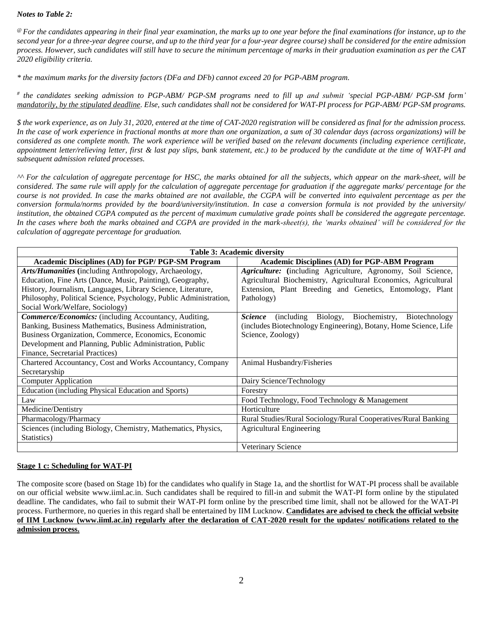### *Notes to Table 2:*

*@ For the candidates appearing in their final year examination, the marks up to one year before the final examinations (for instance, up to the second year for a three-year degree course, and up to the third year for a four-year degree course) shall be considered for the entire admission process. However, such candidates will still have to secure the minimum percentage of marks in their graduation examination as per the CAT 2020 eligibility criteria.*

*\* the maximum marks for the diversity factors (DFa and DFb) cannot exceed 20 for PGP-ABM program.*

*# the candidates seeking admission to PGP-ABM/ PGP-SM programs need to fill up and submit 'special PGP-ABM/ PGP-SM form' mandatorily, by the stipulated deadline. Else, such candidates shall not be considered for WAT-PI process for PGP-ABM/ PGP-SM programs.*

*\$ the work experience, as on July 31, 2020, entered at the time of CAT-2020 registration will be considered as final for the admission process. In the case of work experience in fractional months at more than one organization, a sum of 30 calendar days (across organizations) will be considered as one complete month. The work experience will be verified based on the relevant documents (including experience certificate, appointment letter/relieving letter, first & last pay slips, bank statement, etc.) to be produced by the candidate at the time of WAT-PI and subsequent admission related processes.* 

*^^ For the calculation of aggregate percentage for HSC, the marks obtained for all the subjects, which appear on the mark-sheet, will be considered. The same rule will apply for the calculation of aggregate percentage for graduation if the aggregate marks/ percentage for the course is not provided. In case the marks obtained are not available, the CGPA will be converted into equivalent percentage as per the conversion formula/norms provided by the board/university/institution. In case a conversion formula is not provided by the university/ institution, the obtained CGPA computed as the percent of maximum cumulative grade points shall be considered the aggregate percentage.* In the cases where both the marks obtained and CGPA are provided in the mark-sheet(s), the 'marks obtained' will be considered for the *calculation of aggregate percentage for graduation.*

| <b>Table 3: Academic diversity</b>                                |                                                                             |  |  |  |  |
|-------------------------------------------------------------------|-----------------------------------------------------------------------------|--|--|--|--|
| <b>Academic Disciplines (AD) for PGP/ PGP-SM Program</b>          | <b>Academic Disciplines (AD) for PGP-ABM Program</b>                        |  |  |  |  |
| Arts/Humanities (including Anthropology, Archaeology,             | Agriculture: (including Agriculture, Agronomy, Soil Science,                |  |  |  |  |
| Education, Fine Arts (Dance, Music, Painting), Geography,         | Agricultural Biochemistry, Agricultural Economics, Agricultural             |  |  |  |  |
| History, Journalism, Languages, Library Science, Literature,      | Extension, Plant Breeding and Genetics, Entomology, Plant                   |  |  |  |  |
| Philosophy, Political Science, Psychology, Public Administration, | Pathology)                                                                  |  |  |  |  |
| Social Work/Welfare, Sociology)                                   |                                                                             |  |  |  |  |
| <b>Commerce/Economics:</b> (including Accountancy, Auditing,      | Biochemistry,<br>(including)<br>Biology,<br>Biotechnology<br><i>Science</i> |  |  |  |  |
| Banking, Business Mathematics, Business Administration,           | (includes Biotechnology Engineering), Botany, Home Science, Life            |  |  |  |  |
| Business Organization, Commerce, Economics, Economic              | Science, Zoology)                                                           |  |  |  |  |
| Development and Planning, Public Administration, Public           |                                                                             |  |  |  |  |
| Finance, Secretarial Practices)                                   |                                                                             |  |  |  |  |
| Chartered Accountancy, Cost and Works Accountancy, Company        | Animal Husbandry/Fisheries                                                  |  |  |  |  |
| Secretaryship                                                     |                                                                             |  |  |  |  |
| <b>Computer Application</b>                                       | Dairy Science/Technology                                                    |  |  |  |  |
| <b>Education (including Physical Education and Sports)</b>        | Forestry                                                                    |  |  |  |  |
| Law                                                               | Food Technology, Food Technology & Management                               |  |  |  |  |
| Medicine/Dentistry                                                | Horticulture                                                                |  |  |  |  |
| Pharmacology/Pharmacy                                             | Rural Studies/Rural Sociology/Rural Cooperatives/Rural Banking              |  |  |  |  |
| Sciences (including Biology, Chemistry, Mathematics, Physics,     | <b>Agricultural Engineering</b>                                             |  |  |  |  |
| Statistics)                                                       |                                                                             |  |  |  |  |
|                                                                   | Veterinary Science                                                          |  |  |  |  |

#### **Stage 1 c: Scheduling for WAT-PI**

The composite score (based on Stage 1b) for the candidates who qualify in Stage 1a, and the shortlist for WAT-PI process shall be available on our official website www.iiml.ac.in. Such candidates shall be required to fill-in and submit the WAT-PI form online by the stipulated deadline. The candidates, who fail to submit their WAT-PI form online by the prescribed time limit, shall not be allowed for the WAT-PI process. Furthermore, no queries in this regard shall be entertained by IIM Lucknow. **Candidates are advised to check the official website of IIM Lucknow (www.iiml.ac.in) regularly after the declaration of CAT-2020 result for the updates/ notifications related to the admission process.**